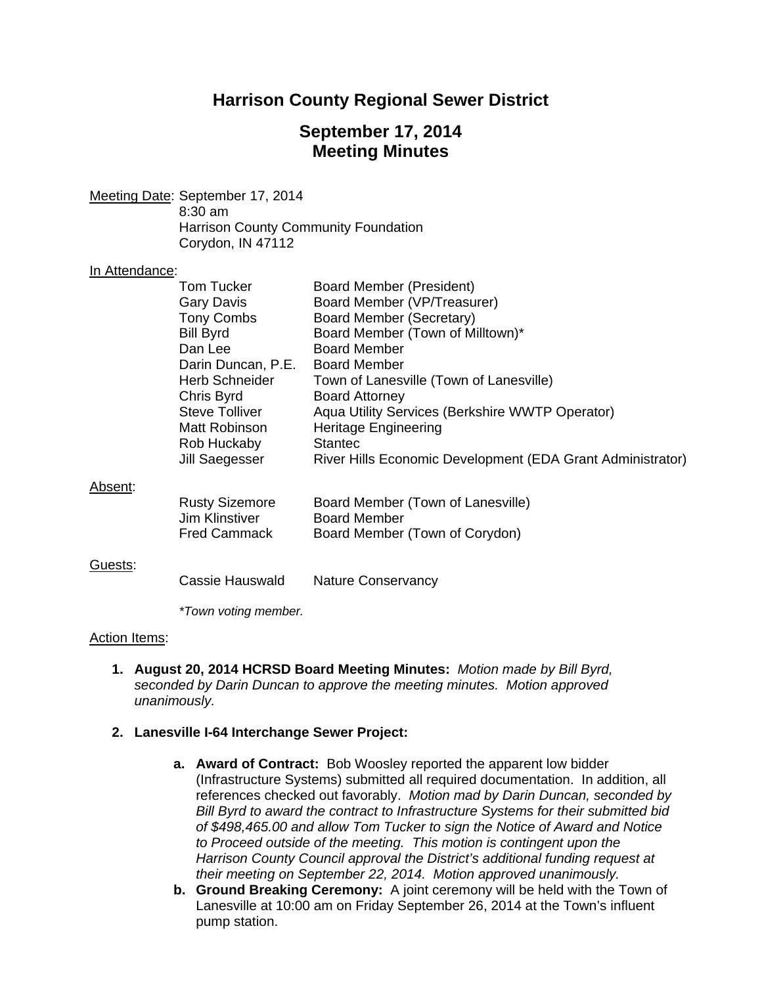# **Harrison County Regional Sewer District**

# **September 17, 2014 Meeting Minutes**

Meeting Date: September 17, 2014 8:30 am Harrison County Community Foundation Corydon, IN 47112

### In Attendance:

|         | Tom Tucker            | Board Member (President)                                   |
|---------|-----------------------|------------------------------------------------------------|
|         | Gary Davis            | Board Member (VP/Treasurer)                                |
|         | Tony Combs            | Board Member (Secretary)                                   |
|         | <b>Bill Byrd</b>      | Board Member (Town of Milltown)*                           |
|         | Dan Lee               | <b>Board Member</b>                                        |
|         | Darin Duncan, P.E.    | <b>Board Member</b>                                        |
|         | <b>Herb Schneider</b> | Town of Lanesville (Town of Lanesville)                    |
|         | Chris Byrd            | <b>Board Attorney</b>                                      |
|         | <b>Steve Tolliver</b> | Aqua Utility Services (Berkshire WWTP Operator)            |
|         | Matt Robinson         | <b>Heritage Engineering</b>                                |
|         | Rob Huckaby           | <b>Stantec</b>                                             |
|         | Jill Saegesser        | River Hills Economic Development (EDA Grant Administrator) |
| Absent: |                       |                                                            |
|         | <b>Rusty Sizemore</b> | Board Member (Town of Lanesville)                          |
|         | Jim Klinstiver        | <b>Board Member</b>                                        |
|         | <b>Fred Cammack</b>   | Board Member (Town of Corydon)                             |
|         |                       |                                                            |
| Guests: |                       |                                                            |
|         | Cassie Hauswald       | <b>Nature Conservancy</b>                                  |
|         |                       |                                                            |
|         | *Town voting member.  |                                                            |
|         |                       |                                                            |

### Action Items:

**1. August 20, 2014 HCRSD Board Meeting Minutes:** *Motion made by Bill Byrd, seconded by Darin Duncan to approve the meeting minutes. Motion approved unanimously.* 

## **2. Lanesville I-64 Interchange Sewer Project:**

- **a. Award of Contract:** Bob Woosley reported the apparent low bidder (Infrastructure Systems) submitted all required documentation. In addition, all references checked out favorably. *Motion mad by Darin Duncan, seconded by Bill Byrd to award the contract to Infrastructure Systems for their submitted bid of \$498,465.00 and allow Tom Tucker to sign the Notice of Award and Notice to Proceed outside of the meeting. This motion is contingent upon the Harrison County Council approval the District's additional funding request at their meeting on September 22, 2014. Motion approved unanimously.*
- **b. Ground Breaking Ceremony:** A joint ceremony will be held with the Town of Lanesville at 10:00 am on Friday September 26, 2014 at the Town's influent pump station.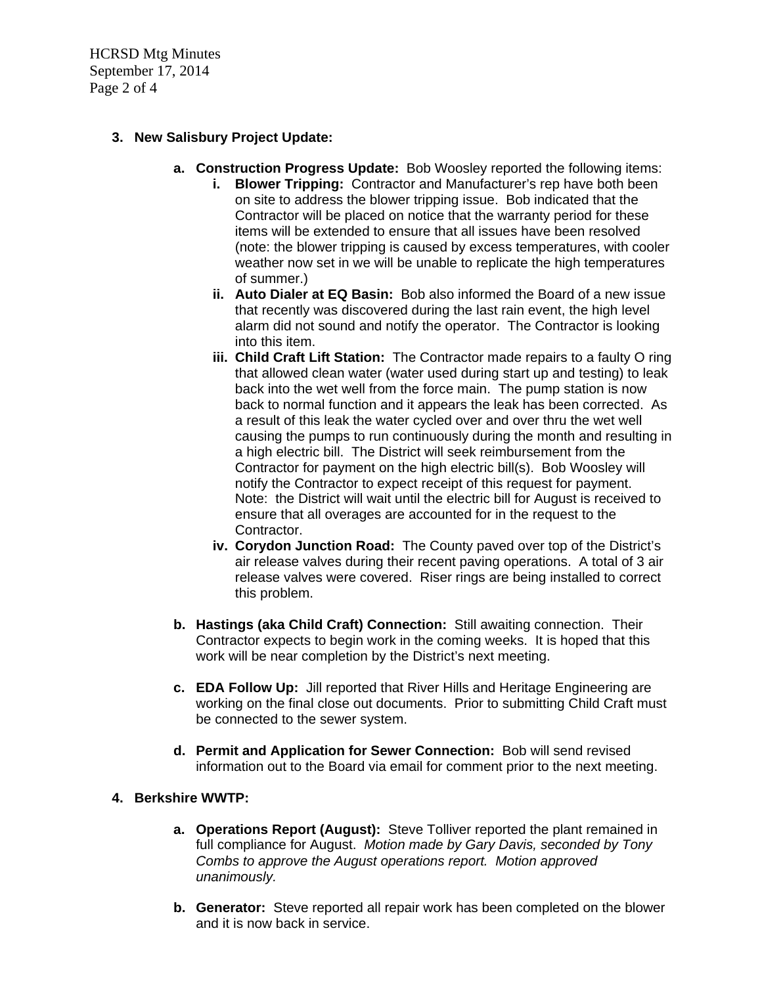HCRSD Mtg Minutes September 17, 2014 Page 2 of 4

## **3. New Salisbury Project Update:**

- **a. Construction Progress Update:** Bob Woosley reported the following items:
	- **i. Blower Tripping:** Contractor and Manufacturer's rep have both been on site to address the blower tripping issue. Bob indicated that the Contractor will be placed on notice that the warranty period for these items will be extended to ensure that all issues have been resolved (note: the blower tripping is caused by excess temperatures, with cooler weather now set in we will be unable to replicate the high temperatures of summer.)
	- **ii. Auto Dialer at EQ Basin:** Bob also informed the Board of a new issue that recently was discovered during the last rain event, the high level alarm did not sound and notify the operator. The Contractor is looking into this item.
	- **iii. Child Craft Lift Station:** The Contractor made repairs to a faulty O ring that allowed clean water (water used during start up and testing) to leak back into the wet well from the force main. The pump station is now back to normal function and it appears the leak has been corrected. As a result of this leak the water cycled over and over thru the wet well causing the pumps to run continuously during the month and resulting in a high electric bill. The District will seek reimbursement from the Contractor for payment on the high electric bill(s). Bob Woosley will notify the Contractor to expect receipt of this request for payment. Note: the District will wait until the electric bill for August is received to ensure that all overages are accounted for in the request to the Contractor.
	- **iv. Corydon Junction Road:** The County paved over top of the District's air release valves during their recent paving operations. A total of 3 air release valves were covered. Riser rings are being installed to correct this problem.
- **b. Hastings (aka Child Craft) Connection:** Still awaiting connection. Their Contractor expects to begin work in the coming weeks. It is hoped that this work will be near completion by the District's next meeting.
- **c. EDA Follow Up:** Jill reported that River Hills and Heritage Engineering are working on the final close out documents. Prior to submitting Child Craft must be connected to the sewer system.
- **d. Permit and Application for Sewer Connection:** Bob will send revised information out to the Board via email for comment prior to the next meeting.

## **4. Berkshire WWTP:**

- **a. Operations Report (August):** Steve Tolliver reported the plant remained in full compliance for August. *Motion made by Gary Davis, seconded by Tony Combs to approve the August operations report. Motion approved unanimously.*
- **b. Generator:** Steve reported all repair work has been completed on the blower and it is now back in service.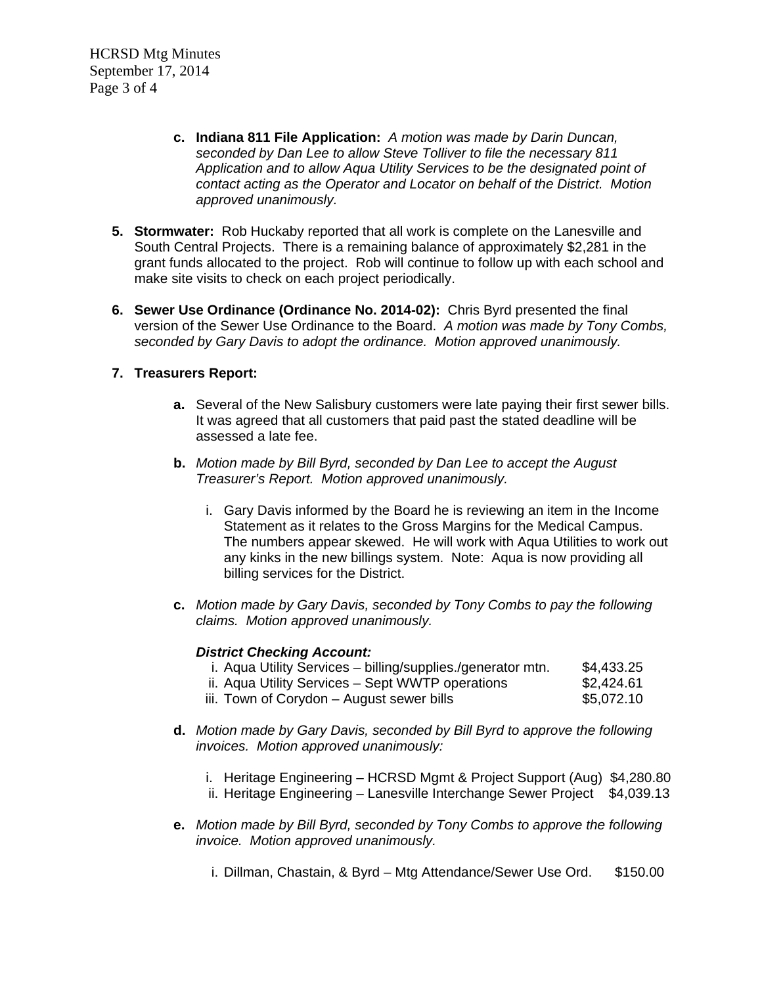HCRSD Mtg Minutes September 17, 2014 Page 3 of 4

- **c. Indiana 811 File Application:** *A motion was made by Darin Duncan, seconded by Dan Lee to allow Steve Tolliver to file the necessary 811 Application and to allow Aqua Utility Services to be the designated point of contact acting as the Operator and Locator on behalf of the District. Motion approved unanimously.*
- **5. Stormwater:** Rob Huckaby reported that all work is complete on the Lanesville and South Central Projects. There is a remaining balance of approximately \$2,281 in the grant funds allocated to the project. Rob will continue to follow up with each school and make site visits to check on each project periodically.
- **6. Sewer Use Ordinance (Ordinance No. 2014-02):** Chris Byrd presented the final version of the Sewer Use Ordinance to the Board. *A motion was made by Tony Combs, seconded by Gary Davis to adopt the ordinance. Motion approved unanimously.*

### **7. Treasurers Report:**

- **a.** Several of the New Salisbury customers were late paying their first sewer bills. It was agreed that all customers that paid past the stated deadline will be assessed a late fee.
- **b.** *Motion made by Bill Byrd, seconded by Dan Lee to accept the August Treasurer's Report. Motion approved unanimously.* 
	- i. Gary Davis informed by the Board he is reviewing an item in the Income Statement as it relates to the Gross Margins for the Medical Campus. The numbers appear skewed. He will work with Aqua Utilities to work out any kinks in the new billings system. Note: Aqua is now providing all billing services for the District.
- **c.** *Motion made by Gary Davis, seconded by Tony Combs to pay the following claims. Motion approved unanimously.*

### *District Checking Account:*

- i. Aqua Utility Services billing/supplies./generator mtn.  $$4,433.25$ ii. Aqua Utility Services – Sept WWTP operations  $$2,424.61$ iii. Town of Corydon – August sewer bills  $$5,072.10$
- **d.** *Motion made by Gary Davis, seconded by Bill Byrd to approve the following invoices. Motion approved unanimously:* 
	- i. Heritage Engineering HCRSD Mgmt & Project Support (Aug) \$4,280.80
	- ii. Heritage Engineering Lanesville Interchange Sewer Project \$4,039.13
- **e.** *Motion made by Bill Byrd, seconded by Tony Combs to approve the following invoice. Motion approved unanimously.*
	- i. Dillman, Chastain, & Byrd Mtg Attendance/Sewer Use Ord. \$150.00